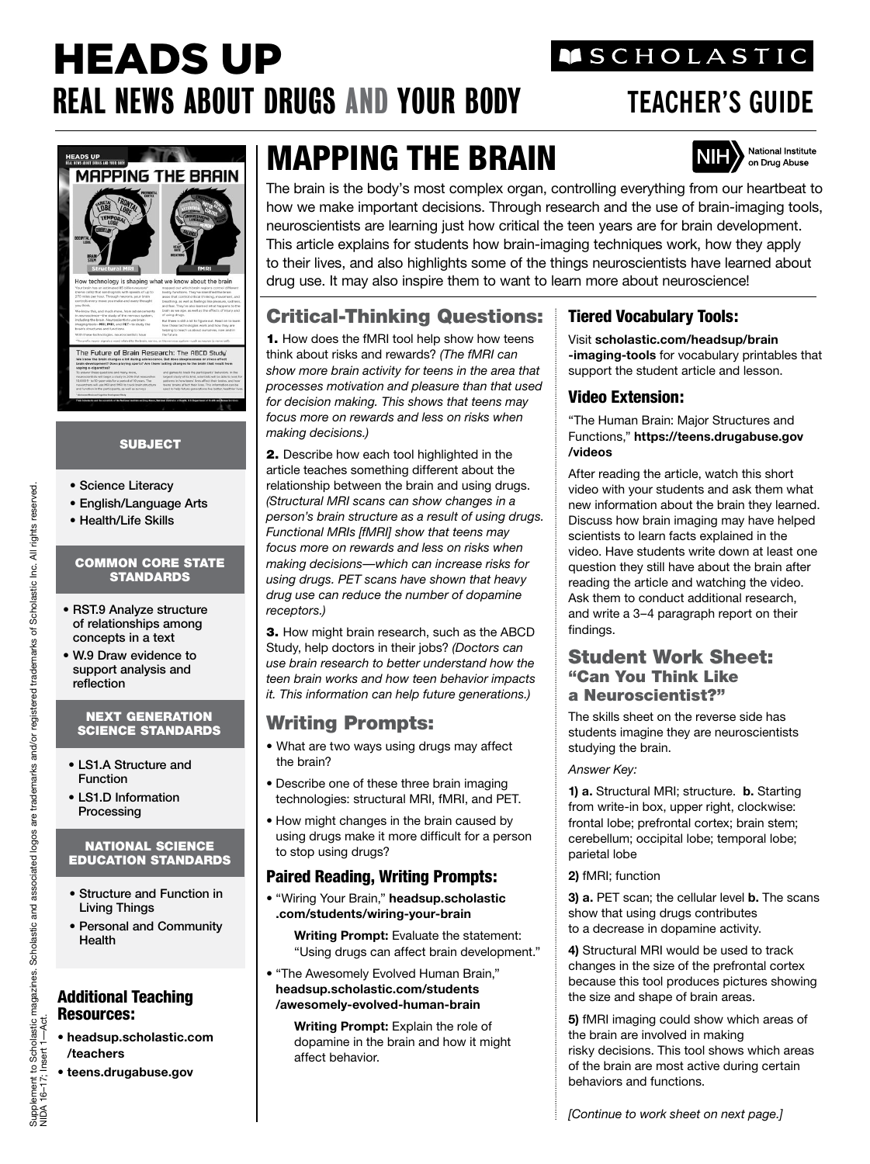# HEADS UP REAL NEWS ABOUT DRUGS AND YOUR BODY **TEACHER'S GUIDE**

## **MSCHOLASTIC**



#### SUBJECT

- Science Literacy
- English/Language Arts
- Health/Life Skills

#### COMMON CORE STATE **STANDARDS**

- RST.9 Analyze structure of relationships among concepts in a text
- W.9 Draw evidence to support analysis and reflection

#### NEXT GENERATION SCIENCE STANDARDS

- LS1.A Structure and Function
- LS1.D Information Processing

#### NATIONAL SCIENCE EDUCATION STANDARDS

- Structure and Function in Living Things
- Personal and Community Health

#### Additional Teaching Resources:

- **headsup.scholastic.com /teachers**
- **teens.drugabuse.gov**

# MAPPING THE BRAIN



The brain is the body's most complex organ, controlling everything from our heartbeat to how we make important decisions. Through research and the use of brain-imaging tools, neuroscientists are learning just how critical the teen years are for brain development. This article explains for students how brain-imaging techniques work, how they apply to their lives, and also highlights some of the things neuroscientists have learned about drug use. It may also inspire them to want to learn more about neuroscience!

### Critical-Thinking Questions:

1. How does the fMRI tool help show how teens think about risks and rewards? *(The fMRI can show more brain activity for teens in the area that processes motivation and pleasure than that used for decision making. This shows that teens may focus more on rewards and less on risks when making decisions.)* 

2. Describe how each tool highlighted in the article teaches something different about the relationship between the brain and using drugs. *(Structural MRI scans can show changes in a person's brain structure as a result of using drugs. Functional MRIs [fMRI] show that teens may focus more on rewards and less on risks when making decisions—which can increase risks for using drugs. PET scans have shown that heavy drug use can reduce the number of dopamine receptors.)*

3. How might brain research, such as the ABCD Study, help doctors in their jobs? *(Doctors can use brain research to better understand how the teen brain works and how teen behavior impacts it. This information can help future generations.)*

### Writing Prompts:

- What are two ways using drugs may affect the brain?
- Describe one of these three brain imaging technologies: structural MRI, fMRI, and PET.
- How might changes in the brain caused by using drugs make it more difficult for a person to stop using drugs?

#### Paired Reading, Writing Prompts:

• "Wiring Your Brain," **headsup.scholastic .com/students/wiring-your-brain**

**Writing Prompt:** Evaluate the statement: "Using drugs can affect brain development."

• "The Awesomely Evolved Human Brain," **headsup.scholastic.com/students /awesomely-evolved-human-brain**

> **Writing Prompt:** Explain the role of dopamine in the brain and how it might affect behavior.

#### Tiered Vocabulary Tools:

Visit **scholastic.com/headsup/brain -imaging-tools** for vocabulary printables that support the student article and lesson.

#### Video Extension:

"The Human Brain: Major Structures and Functions," **https://teens.drugabuse.gov /videos**

After reading the article, watch this short video with your students and ask them what new information about the brain they learned. Discuss how brain imaging may have helped scientists to learn facts explained in the video. Have students write down at least one question they still have about the brain after reading the article and watching the video. Ask them to conduct additional research, and write a 3–4 paragraph report on their findings.

#### Student Work Sheet: "Can You Think Like a Neuroscientist?"

The skills sheet on the reverse side has students imagine they are neuroscientists studying the brain.

*Answer Key:*

**1) a.** Structural MRI; structure. **b.** Starting from write-in box, upper right, clockwise: frontal lobe; prefrontal cortex; brain stem; cerebellum; occipital lobe; temporal lobe; parietal lobe

#### **2)** fMRI; function

**3) a.** PET scan; the cellular level **b.** The scans show that using drugs contributes to a decrease in dopamine activity.

**4)** Structural MRI would be used to track changes in the size of the prefrontal cortex because this tool produces pictures showing the size and shape of brain areas.

**5)** fMRI imaging could show which areas of the brain are involved in making risky decisions. This tool shows which areas of the brain are most active during certain behaviors and functions.